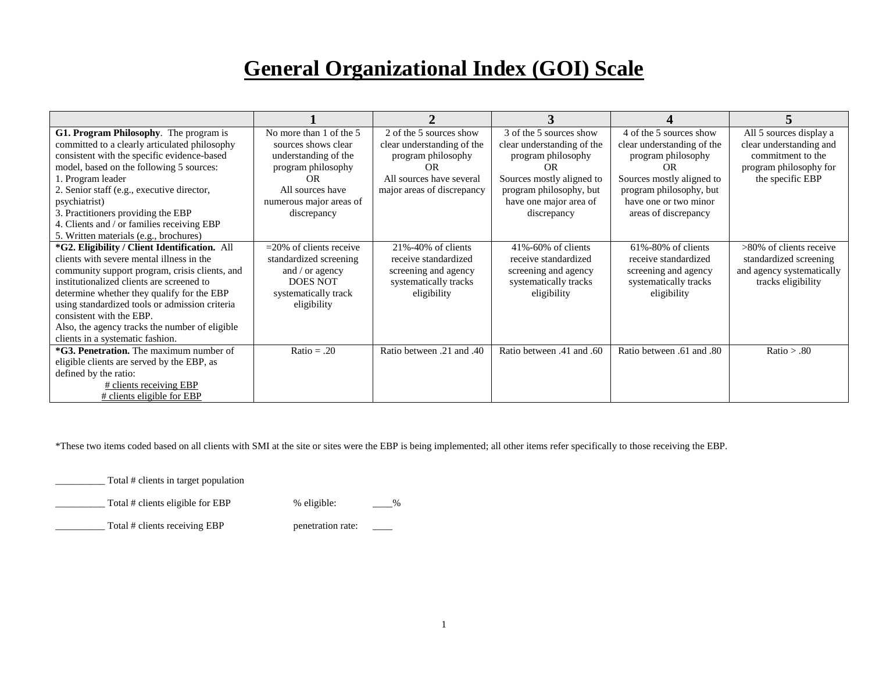## **General Organizational Index (GOI) Scale**

| G1. Program Philosophy. The program is<br>committed to a clearly articulated philosophy<br>consistent with the specific evidence-based<br>model, based on the following 5 sources:<br>1. Program leader<br>2. Senior staff (e.g., executive director,<br>psychiatrist)<br>3. Practitioners providing the EBP<br>4. Clients and / or families receiving EBP                                                                                            | No more than 1 of the 5<br>sources shows clear<br>understanding of the<br>program philosophy<br>OR<br>All sources have<br>numerous major areas of<br>discrepancy | 2 of the 5 sources show<br>clear understanding of the<br>program philosophy<br>OR<br>All sources have several<br>major areas of discrepancy | 3 of the 5 sources show<br>clear understanding of the<br>program philosophy<br>OR<br>Sources mostly aligned to<br>program philosophy, but<br>have one major area of<br>discrepancy | 4 of the 5 sources show<br>clear understanding of the<br>program philosophy<br>OR.<br>Sources mostly aligned to<br>program philosophy, but<br>have one or two minor<br>areas of discrepancy | All 5 sources display a<br>clear understanding and<br>commitment to the<br>program philosophy for<br>the specific EBP |
|-------------------------------------------------------------------------------------------------------------------------------------------------------------------------------------------------------------------------------------------------------------------------------------------------------------------------------------------------------------------------------------------------------------------------------------------------------|------------------------------------------------------------------------------------------------------------------------------------------------------------------|---------------------------------------------------------------------------------------------------------------------------------------------|------------------------------------------------------------------------------------------------------------------------------------------------------------------------------------|---------------------------------------------------------------------------------------------------------------------------------------------------------------------------------------------|-----------------------------------------------------------------------------------------------------------------------|
| 5. Written materials (e.g., brochures)<br>*G2. Eligibility / Client Identification. All<br>clients with severe mental illness in the<br>community support program, crisis clients, and<br>institutionalized clients are screened to<br>determine whether they qualify for the EBP<br>using standardized tools or admission criteria<br>consistent with the EBP.<br>Also, the agency tracks the number of eligible<br>clients in a systematic fashion. | $=$ 20% of clients receive<br>standardized screening<br>and / or agency<br><b>DOES NOT</b><br>systematically track<br>eligibility                                | 21%-40% of clients<br>receive standardized<br>screening and agency<br>systematically tracks<br>eligibility                                  | 41%-60% of clients<br>receive standardized<br>screening and agency<br>systematically tracks<br>eligibility                                                                         | $61\% - 80\%$ of clients<br>receive standardized<br>screening and agency<br>systematically tracks<br>eligibility                                                                            | >80% of clients receive<br>standardized screening<br>and agency systematically<br>tracks eligibility                  |
| *G3. Penetration. The maximum number of<br>eligible clients are served by the EBP, as<br>defined by the ratio:<br># clients receiving EBP<br># clients eligible for EBP                                                                                                                                                                                                                                                                               | $Ratio = .20$                                                                                                                                                    | Atio between .21 and .40                                                                                                                    | Ratio between .41 and .60                                                                                                                                                          | Ratio between .61 and .80                                                                                                                                                                   | Ratio $> .80$                                                                                                         |

\*These two items coded based on all clients with SMI at the site or sites were the EBP is being implemented; all other items refer specifically to those receiving the EBP.

\_\_\_\_\_\_\_\_\_\_ Total # clients in target population

\_Total # clients eligible for EBP % eligible: \_\_\_\_\_%

\_Total # clients receiving EBP penetration rate: \_\_\_\_\_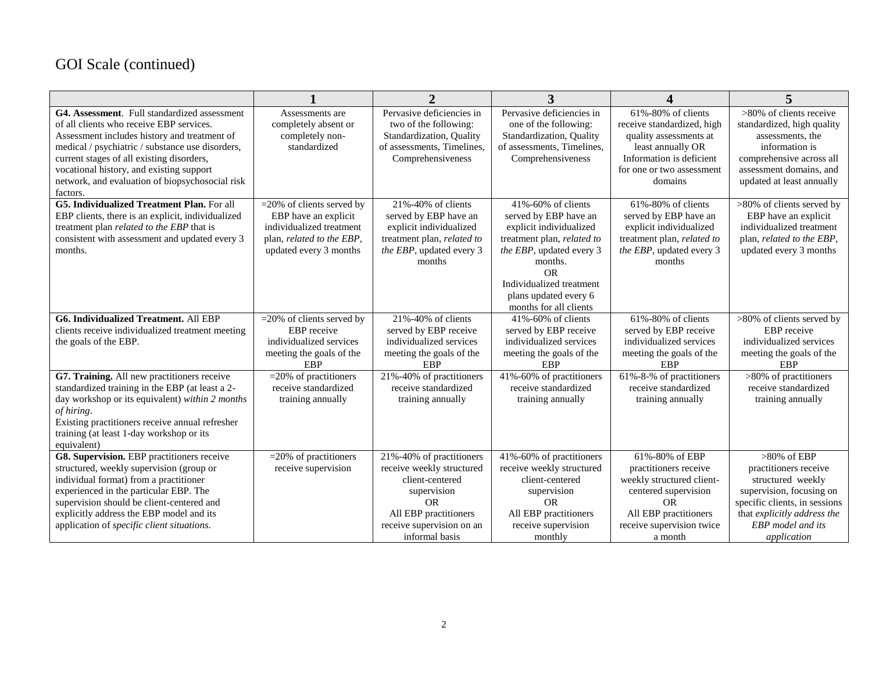## GOI Scale (continued)

|                                                                                                                                                                                                                                                                                                                                                      |                                                                                                                                         | $\overline{2}$                                                                                                                                                               | 3                                                                                                                                                                                                                                       | 4                                                                                                                                                                          | 5                                                                                                                                                                                            |
|------------------------------------------------------------------------------------------------------------------------------------------------------------------------------------------------------------------------------------------------------------------------------------------------------------------------------------------------------|-----------------------------------------------------------------------------------------------------------------------------------------|------------------------------------------------------------------------------------------------------------------------------------------------------------------------------|-----------------------------------------------------------------------------------------------------------------------------------------------------------------------------------------------------------------------------------------|----------------------------------------------------------------------------------------------------------------------------------------------------------------------------|----------------------------------------------------------------------------------------------------------------------------------------------------------------------------------------------|
| G4. Assessment. Full standardized assessment<br>of all clients who receive EBP services.<br>Assessment includes history and treatment of<br>medical / psychiatric / substance use disorders,<br>current stages of all existing disorders,<br>vocational history, and existing support<br>network, and evaluation of biopsychosocial risk<br>factors. | Assessments are<br>completely absent or<br>completely non-<br>standardized                                                              | Pervasive deficiencies in<br>two of the following:<br>Standardization, Quality<br>of assessments, Timelines,<br>Comprehensiveness                                            | Pervasive deficiencies in<br>one of the following:<br>Standardization, Quality<br>of assessments, Timelines,<br>Comprehensiveness                                                                                                       | 61%-80% of clients<br>receive standardized, high<br>quality assessments at<br>least annually OR<br>Information is deficient<br>for one or two assessment<br>domains        | >80% of clients receive<br>standardized, high quality<br>assessments, the<br>information is<br>comprehensive across all<br>assessment domains, and<br>updated at least annually              |
| <b>G5. Individualized Treatment Plan. For all</b><br>EBP clients, there is an explicit, individualized<br>treatment plan <i>related to the EBP</i> that is<br>consistent with assessment and updated every 3<br>months.                                                                                                                              | $=$ 20% of clients served by<br>EBP have an explicit<br>individualized treatment<br>plan, related to the EBP,<br>updated every 3 months | 21%-40% of clients<br>served by EBP have an<br>explicit individualized<br>treatment plan, related to<br>the EBP, updated every 3<br>months                                   | 41%-60% of clients<br>served by EBP have an<br>explicit individualized<br>treatment plan, related to<br>the EBP, updated every 3<br>months.<br><b>OR</b><br>Individualized treatment<br>plans updated every 6<br>months for all clients | $61\% - 80\%$ of clients<br>served by EBP have an<br>explicit individualized<br>treatment plan, related to<br>the EBP, updated every 3<br>months                           | >80% of clients served by<br>EBP have an explicit<br>individualized treatment<br>plan, related to the EBP,<br>updated every 3 months                                                         |
| <b>G6. Individualized Treatment. All EBP</b><br>clients receive individualized treatment meeting<br>the goals of the EBP.                                                                                                                                                                                                                            | $=$ 20% of clients served by<br>EBP receive<br>individualized services<br>meeting the goals of the<br><b>EBP</b>                        | 21%-40% of clients<br>served by EBP receive<br>individualized services<br>meeting the goals of the<br>EBP                                                                    | 41%-60% of clients<br>served by EBP receive<br>individualized services<br>meeting the goals of the<br>EBP                                                                                                                               | 61%-80% of clients<br>served by EBP receive<br>individualized services<br>meeting the goals of the<br>EBP                                                                  | >80% of clients served by<br>EBP receive<br>individualized services<br>meeting the goals of the<br>EBP                                                                                       |
| G7. Training. All new practitioners receive<br>standardized training in the EBP (at least a 2-<br>day workshop or its equivalent) within 2 months<br>of hiring.<br>Existing practitioners receive annual refresher<br>training (at least 1-day workshop or its<br>equivalent)                                                                        | $=$ 20% of practitioners<br>receive standardized<br>training annually                                                                   | 21%-40% of practitioners<br>receive standardized<br>training annually                                                                                                        | 41%-60% of practitioners<br>receive standardized<br>training annually                                                                                                                                                                   | 61%-8-% of practitioners<br>receive standardized<br>training annually                                                                                                      | >80% of practitioners<br>receive standardized<br>training annually                                                                                                                           |
| G8. Supervision. EBP practitioners receive<br>structured, weekly supervision (group or<br>individual format) from a practitioner<br>experienced in the particular EBP. The<br>supervision should be client-centered and<br>explicitly address the EBP model and its<br>application of specific client situations.                                    | $=$ 20% of practitioners<br>receive supervision                                                                                         | 21%-40% of practitioners<br>receive weekly structured<br>client-centered<br>supervision<br><b>OR</b><br>All EBP practitioners<br>receive supervision on an<br>informal basis | 41%-60% of practitioners<br>receive weekly structured<br>client-centered<br>supervision<br><b>OR</b><br>All EBP practitioners<br>receive supervision<br>monthly                                                                         | 61%-80% of EBP<br>practitioners receive<br>weekly structured client-<br>centered supervision<br><b>OR</b><br>All EBP practitioners<br>receive supervision twice<br>a month | $>80\%$ of EBP<br>practitioners receive<br>structured weekly<br>supervision, focusing on<br>specific clients, in sessions<br>that explicitly address the<br>EBP model and its<br>application |